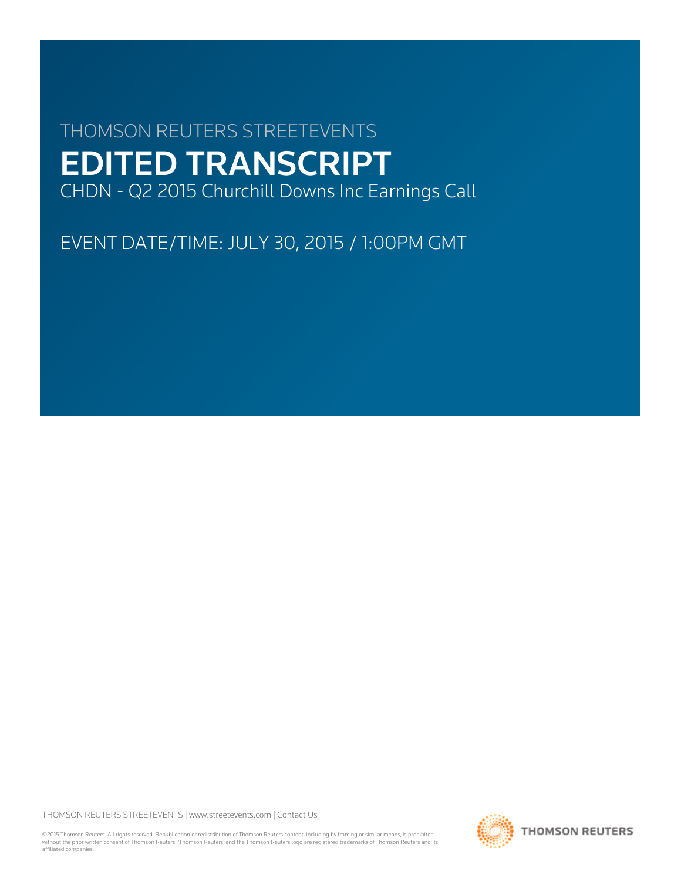# THOMSON REUTERS STREETEVENTS EDITED TRANSCRIPT CHDN - Q2 2015 Churchill Downs Inc Earnings Call

EVENT DATE/TIME: JULY 30, 2015 / 1:00PM GMT

THOMSON REUTERS STREETEVENTS | [www.streetevents.com](http://www.streetevents.com) | [Contact Us](http://www010.streetevents.com/contact.asp)

©2015 Thomson Reuters. All rights reserved. Republication or redistribution of Thomson Reuters content, including by framing or similar means, is prohibited without the prior written consent of Thomson Reuters. 'Thomson Reuters' and the Thomson Reuters logo are registered trademarks of Thomson Reuters and its affiliated companies.

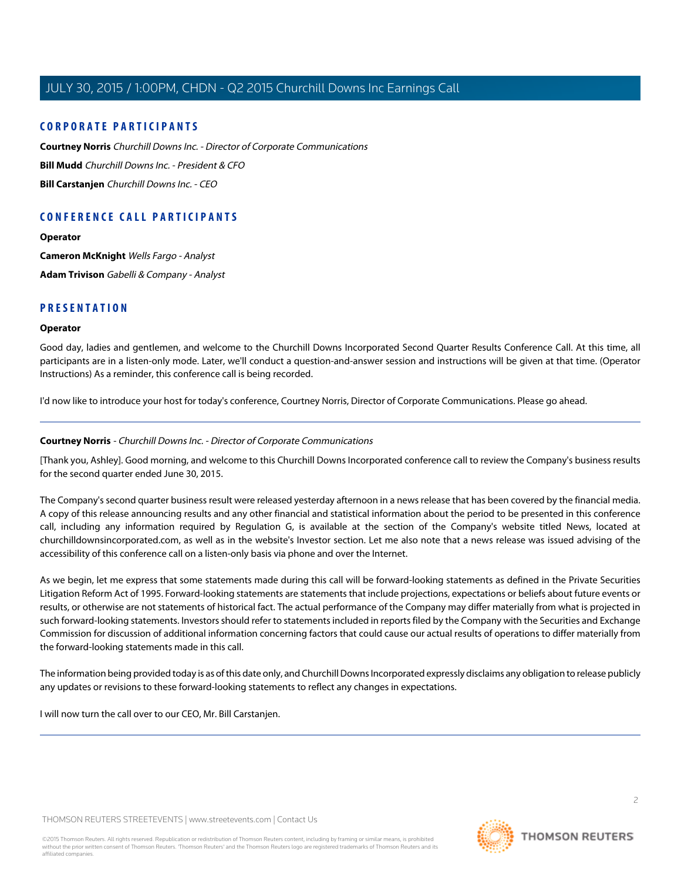#### **CORPORATE PARTICIPANTS**

**[Courtney Norris](#page-1-0)** Churchill Downs Inc. - Director of Corporate Communications **[Bill Mudd](#page-3-0)** Churchill Downs Inc. - President & CFO **[Bill Carstanjen](#page-2-0)** Churchill Downs Inc. - CEO

## **CONFERENCE CALL PARTICIPANTS**

**[Operator](#page-1-1)**

**[Cameron McKnight](#page-5-0)** Wells Fargo - Analyst **[Adam Trivison](#page-7-0)** Gabelli & Company - Analyst

#### <span id="page-1-1"></span>**PRESENTATION**

#### **Operator**

Good day, ladies and gentlemen, and welcome to the Churchill Downs Incorporated Second Quarter Results Conference Call. At this time, all participants are in a listen-only mode. Later, we'll conduct a question-and-answer session and instructions will be given at that time. (Operator Instructions) As a reminder, this conference call is being recorded.

<span id="page-1-0"></span>I'd now like to introduce your host for today's conference, Courtney Norris, Director of Corporate Communications. Please go ahead.

#### **Courtney Norris** - Churchill Downs Inc. - Director of Corporate Communications

[Thank you, Ashley]. Good morning, and welcome to this Churchill Downs Incorporated conference call to review the Company's business results for the second quarter ended June 30, 2015.

The Company's second quarter business result were released yesterday afternoon in a news release that has been covered by the financial media. A copy of this release announcing results and any other financial and statistical information about the period to be presented in this conference call, including any information required by Regulation G, is available at the section of the Company's website titled News, located at churchilldownsincorporated.com, as well as in the website's Investor section. Let me also note that a news release was issued advising of the accessibility of this conference call on a listen-only basis via phone and over the Internet.

As we begin, let me express that some statements made during this call will be forward-looking statements as defined in the Private Securities Litigation Reform Act of 1995. Forward-looking statements are statements that include projections, expectations or beliefs about future events or results, or otherwise are not statements of historical fact. The actual performance of the Company may differ materially from what is projected in such forward-looking statements. Investors should refer to statements included in reports filed by the Company with the Securities and Exchange Commission for discussion of additional information concerning factors that could cause our actual results of operations to differ materially from the forward-looking statements made in this call.

The information being provided today is as of this date only, and Churchill Downs Incorporated expressly disclaims any obligation to release publicly any updates or revisions to these forward-looking statements to reflect any changes in expectations.

I will now turn the call over to our CEO, Mr. Bill Carstanjen.

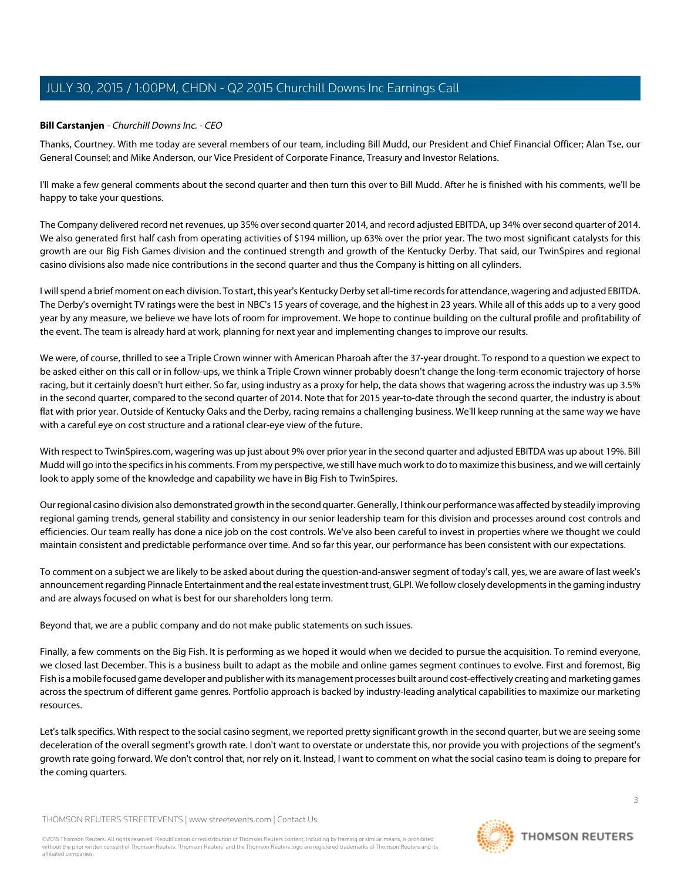#### <span id="page-2-0"></span>**Bill Carstanjen** - Churchill Downs Inc. - CEO

Thanks, Courtney. With me today are several members of our team, including Bill Mudd, our President and Chief Financial Officer; Alan Tse, our General Counsel; and Mike Anderson, our Vice President of Corporate Finance, Treasury and Investor Relations.

I'll make a few general comments about the second quarter and then turn this over to Bill Mudd. After he is finished with his comments, we'll be happy to take your questions.

The Company delivered record net revenues, up 35% over second quarter 2014, and record adjusted EBITDA, up 34% over second quarter of 2014. We also generated first half cash from operating activities of \$194 million, up 63% over the prior year. The two most significant catalysts for this growth are our Big Fish Games division and the continued strength and growth of the Kentucky Derby. That said, our TwinSpires and regional casino divisions also made nice contributions in the second quarter and thus the Company is hitting on all cylinders.

I will spend a brief moment on each division. To start, this year's Kentucky Derby set all-time records for attendance, wagering and adjusted EBITDA. The Derby's overnight TV ratings were the best in NBC's 15 years of coverage, and the highest in 23 years. While all of this adds up to a very good year by any measure, we believe we have lots of room for improvement. We hope to continue building on the cultural profile and profitability of the event. The team is already hard at work, planning for next year and implementing changes to improve our results.

We were, of course, thrilled to see a Triple Crown winner with American Pharoah after the 37-year drought. To respond to a question we expect to be asked either on this call or in follow-ups, we think a Triple Crown winner probably doesn't change the long-term economic trajectory of horse racing, but it certainly doesn't hurt either. So far, using industry as a proxy for help, the data shows that wagering across the industry was up 3.5% in the second quarter, compared to the second quarter of 2014. Note that for 2015 year-to-date through the second quarter, the industry is about flat with prior year. Outside of Kentucky Oaks and the Derby, racing remains a challenging business. We'll keep running at the same way we have with a careful eye on cost structure and a rational clear-eye view of the future.

With respect to TwinSpires.com, wagering was up just about 9% over prior year in the second quarter and adjusted EBITDA was up about 19%. Bill Mudd will go into the specifics in his comments. From my perspective, we still have much work to do to maximize this business, and we will certainly look to apply some of the knowledge and capability we have in Big Fish to TwinSpires.

Our regional casino division also demonstrated growth in the second quarter. Generally, I think our performance was affected by steadily improving regional gaming trends, general stability and consistency in our senior leadership team for this division and processes around cost controls and efficiencies. Our team really has done a nice job on the cost controls. We've also been careful to invest in properties where we thought we could maintain consistent and predictable performance over time. And so far this year, our performance has been consistent with our expectations.

To comment on a subject we are likely to be asked about during the question-and-answer segment of today's call, yes, we are aware of last week's announcement regarding Pinnacle Entertainment and the real estate investment trust, GLPI. We follow closely developments in the gaming industry and are always focused on what is best for our shareholders long term.

Beyond that, we are a public company and do not make public statements on such issues.

Finally, a few comments on the Big Fish. It is performing as we hoped it would when we decided to pursue the acquisition. To remind everyone, we closed last December. This is a business built to adapt as the mobile and online games segment continues to evolve. First and foremost, Big Fish is a mobile focused game developer and publisher with its management processes built around cost-effectively creating and marketing games across the spectrum of different game genres. Portfolio approach is backed by industry-leading analytical capabilities to maximize our marketing resources.

Let's talk specifics. With respect to the social casino segment, we reported pretty significant growth in the second quarter, but we are seeing some deceleration of the overall segment's growth rate. I don't want to overstate or understate this, nor provide you with projections of the segment's growth rate going forward. We don't control that, nor rely on it. Instead, I want to comment on what the social casino team is doing to prepare for the coming quarters.

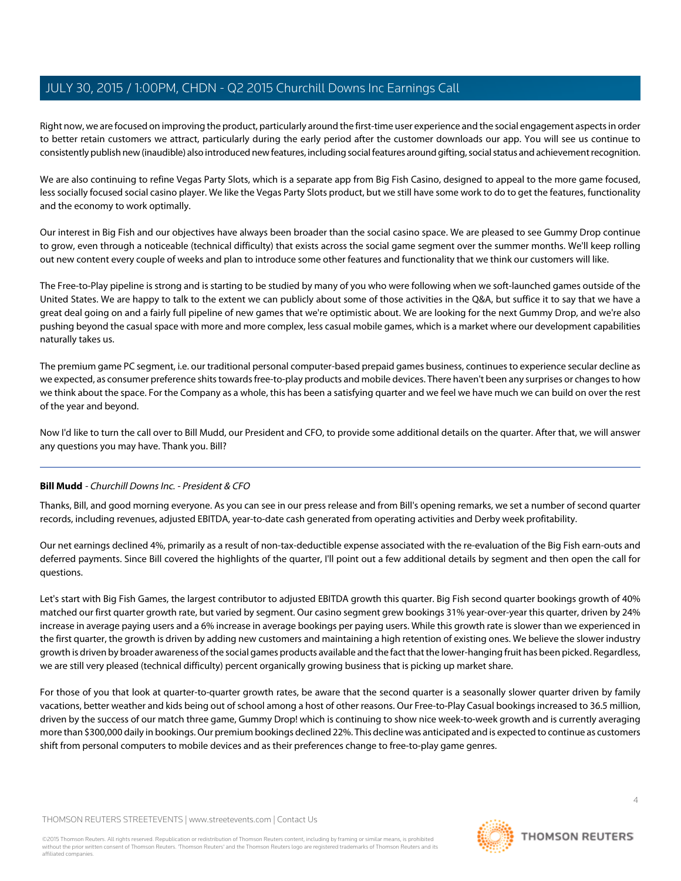Right now, we are focused on improving the product, particularly around the first-time user experience and the social engagement aspects in order to better retain customers we attract, particularly during the early period after the customer downloads our app. You will see us continue to consistently publish new (inaudible) also introduced new features, including social features around gifting, social status and achievement recognition.

We are also continuing to refine Vegas Party Slots, which is a separate app from Big Fish Casino, designed to appeal to the more game focused, less socially focused social casino player. We like the Vegas Party Slots product, but we still have some work to do to get the features, functionality and the economy to work optimally.

Our interest in Big Fish and our objectives have always been broader than the social casino space. We are pleased to see Gummy Drop continue to grow, even through a noticeable (technical difficulty) that exists across the social game segment over the summer months. We'll keep rolling out new content every couple of weeks and plan to introduce some other features and functionality that we think our customers will like.

The Free-to-Play pipeline is strong and is starting to be studied by many of you who were following when we soft-launched games outside of the United States. We are happy to talk to the extent we can publicly about some of those activities in the Q&A, but suffice it to say that we have a great deal going on and a fairly full pipeline of new games that we're optimistic about. We are looking for the next Gummy Drop, and we're also pushing beyond the casual space with more and more complex, less casual mobile games, which is a market where our development capabilities naturally takes us.

The premium game PC segment, i.e. our traditional personal computer-based prepaid games business, continues to experience secular decline as we expected, as consumer preference shits towards free-to-play products and mobile devices. There haven't been any surprises or changes to how we think about the space. For the Company as a whole, this has been a satisfying quarter and we feel we have much we can build on over the rest of the year and beyond.

<span id="page-3-0"></span>Now I'd like to turn the call over to Bill Mudd, our President and CFO, to provide some additional details on the quarter. After that, we will answer any questions you may have. Thank you. Bill?

#### **Bill Mudd** - Churchill Downs Inc. - President & CFO

Thanks, Bill, and good morning everyone. As you can see in our press release and from Bill's opening remarks, we set a number of second quarter records, including revenues, adjusted EBITDA, year-to-date cash generated from operating activities and Derby week profitability.

Our net earnings declined 4%, primarily as a result of non-tax-deductible expense associated with the re-evaluation of the Big Fish earn-outs and deferred payments. Since Bill covered the highlights of the quarter, I'll point out a few additional details by segment and then open the call for questions.

Let's start with Big Fish Games, the largest contributor to adjusted EBITDA growth this quarter. Big Fish second quarter bookings growth of 40% matched our first quarter growth rate, but varied by segment. Our casino segment grew bookings 31% year-over-year this quarter, driven by 24% increase in average paying users and a 6% increase in average bookings per paying users. While this growth rate is slower than we experienced in the first quarter, the growth is driven by adding new customers and maintaining a high retention of existing ones. We believe the slower industry growth is driven by broader awareness of the social games products available and the fact that the lower-hanging fruit has been picked. Regardless, we are still very pleased (technical difficulty) percent organically growing business that is picking up market share.

For those of you that look at quarter-to-quarter growth rates, be aware that the second quarter is a seasonally slower quarter driven by family vacations, better weather and kids being out of school among a host of other reasons. Our Free-to-Play Casual bookings increased to 36.5 million, driven by the success of our match three game, Gummy Drop! which is continuing to show nice week-to-week growth and is currently averaging more than \$300,000 daily in bookings. Our premium bookings declined 22%. This decline was anticipated and is expected to continue as customers shift from personal computers to mobile devices and as their preferences change to free-to-play game genres.

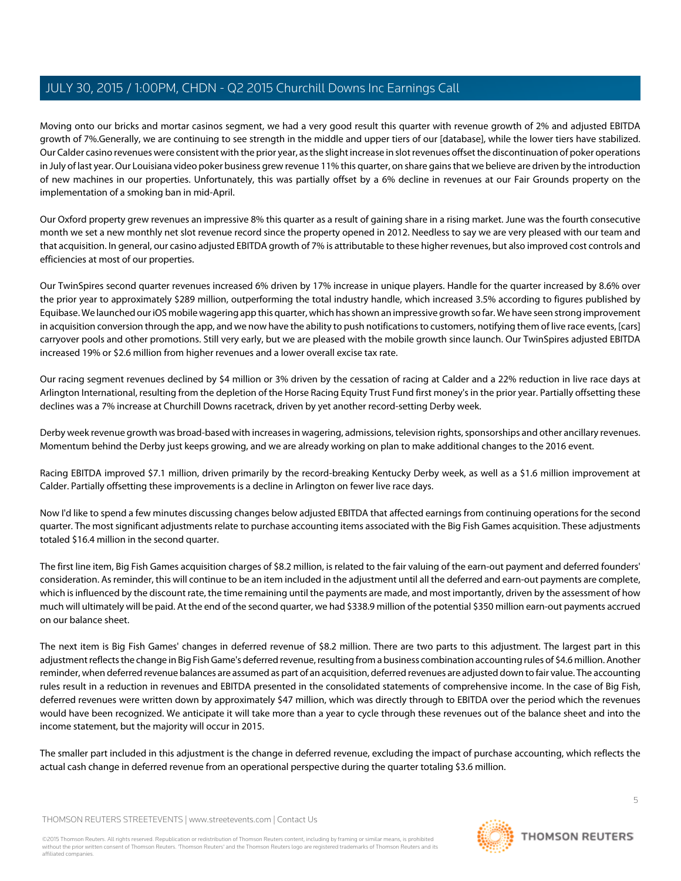Moving onto our bricks and mortar casinos segment, we had a very good result this quarter with revenue growth of 2% and adjusted EBITDA growth of 7%.Generally, we are continuing to see strength in the middle and upper tiers of our [database], while the lower tiers have stabilized. Our Calder casino revenues were consistent with the prior year, as the slight increase in slot revenues offset the discontinuation of poker operations in July of last year. Our Louisiana video poker business grew revenue 11% this quarter, on share gains that we believe are driven by the introduction of new machines in our properties. Unfortunately, this was partially offset by a 6% decline in revenues at our Fair Grounds property on the implementation of a smoking ban in mid-April.

Our Oxford property grew revenues an impressive 8% this quarter as a result of gaining share in a rising market. June was the fourth consecutive month we set a new monthly net slot revenue record since the property opened in 2012. Needless to say we are very pleased with our team and that acquisition. In general, our casino adjusted EBITDA growth of 7% is attributable to these higher revenues, but also improved cost controls and efficiencies at most of our properties.

Our TwinSpires second quarter revenues increased 6% driven by 17% increase in unique players. Handle for the quarter increased by 8.6% over the prior year to approximately \$289 million, outperforming the total industry handle, which increased 3.5% according to figures published by Equibase. We launched our iOS mobile wagering app this quarter, which has shown an impressive growth so far. We have seen strong improvement in acquisition conversion through the app, and we now have the ability to push notifications to customers, notifying them of live race events, [cars] carryover pools and other promotions. Still very early, but we are pleased with the mobile growth since launch. Our TwinSpires adjusted EBITDA increased 19% or \$2.6 million from higher revenues and a lower overall excise tax rate.

Our racing segment revenues declined by \$4 million or 3% driven by the cessation of racing at Calder and a 22% reduction in live race days at Arlington International, resulting from the depletion of the Horse Racing Equity Trust Fund first money's in the prior year. Partially offsetting these declines was a 7% increase at Churchill Downs racetrack, driven by yet another record-setting Derby week.

Derby week revenue growth was broad-based with increases in wagering, admissions, television rights, sponsorships and other ancillary revenues. Momentum behind the Derby just keeps growing, and we are already working on plan to make additional changes to the 2016 event.

Racing EBITDA improved \$7.1 million, driven primarily by the record-breaking Kentucky Derby week, as well as a \$1.6 million improvement at Calder. Partially offsetting these improvements is a decline in Arlington on fewer live race days.

Now I'd like to spend a few minutes discussing changes below adjusted EBITDA that affected earnings from continuing operations for the second quarter. The most significant adjustments relate to purchase accounting items associated with the Big Fish Games acquisition. These adjustments totaled \$16.4 million in the second quarter.

The first line item, Big Fish Games acquisition charges of \$8.2 million, is related to the fair valuing of the earn-out payment and deferred founders' consideration. As reminder, this will continue to be an item included in the adjustment until all the deferred and earn-out payments are complete, which is influenced by the discount rate, the time remaining until the payments are made, and most importantly, driven by the assessment of how much will ultimately will be paid. At the end of the second quarter, we had \$338.9 million of the potential \$350 million earn-out payments accrued on our balance sheet.

The next item is Big Fish Games' changes in deferred revenue of \$8.2 million. There are two parts to this adjustment. The largest part in this adjustment reflects the change in Big Fish Game's deferred revenue, resulting from a business combination accounting rules of \$4.6 million. Another reminder, when deferred revenue balances are assumed as part of an acquisition, deferred revenues are adjusted down to fair value. The accounting rules result in a reduction in revenues and EBITDA presented in the consolidated statements of comprehensive income. In the case of Big Fish, deferred revenues were written down by approximately \$47 million, which was directly through to EBITDA over the period which the revenues would have been recognized. We anticipate it will take more than a year to cycle through these revenues out of the balance sheet and into the income statement, but the majority will occur in 2015.

The smaller part included in this adjustment is the change in deferred revenue, excluding the impact of purchase accounting, which reflects the actual cash change in deferred revenue from an operational perspective during the quarter totaling \$3.6 million.

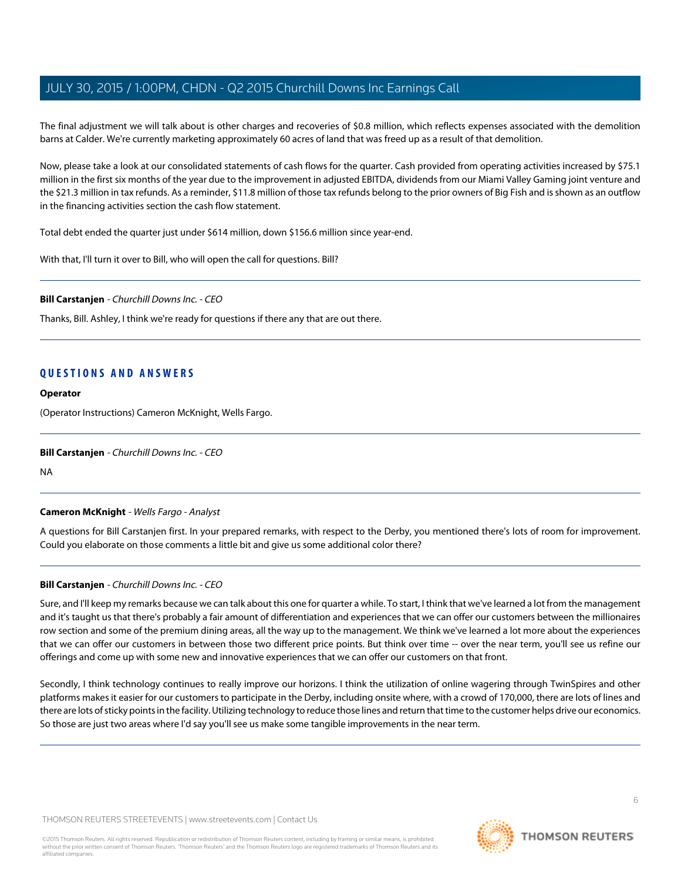The final adjustment we will talk about is other charges and recoveries of \$0.8 million, which reflects expenses associated with the demolition barns at Calder. We're currently marketing approximately 60 acres of land that was freed up as a result of that demolition.

Now, please take a look at our consolidated statements of cash flows for the quarter. Cash provided from operating activities increased by \$75.1 million in the first six months of the year due to the improvement in adjusted EBITDA, dividends from our Miami Valley Gaming joint venture and the \$21.3 million in tax refunds. As a reminder, \$11.8 million of those tax refunds belong to the prior owners of Big Fish and is shown as an outflow in the financing activities section the cash flow statement.

Total debt ended the quarter just under \$614 million, down \$156.6 million since year-end.

With that, I'll turn it over to Bill, who will open the call for questions. Bill?

**Bill Carstanjen** - Churchill Downs Inc. - CEO

Thanks, Bill. Ashley, I think we're ready for questions if there any that are out there.

### **QUESTIONS AND ANSWERS**

#### **Operator**

(Operator Instructions) Cameron McKnight, Wells Fargo.

#### <span id="page-5-0"></span>**Bill Carstanjen** - Churchill Downs Inc. - CEO

NA

#### **Cameron McKnight** - Wells Fargo - Analyst

A questions for Bill Carstanjen first. In your prepared remarks, with respect to the Derby, you mentioned there's lots of room for improvement. Could you elaborate on those comments a little bit and give us some additional color there?

#### **Bill Carstanjen** - Churchill Downs Inc. - CEO

Sure, and I'll keep my remarks because we can talk about this one for quarter a while. To start, I think that we've learned a lot from the management and it's taught us that there's probably a fair amount of differentiation and experiences that we can offer our customers between the millionaires row section and some of the premium dining areas, all the way up to the management. We think we've learned a lot more about the experiences that we can offer our customers in between those two different price points. But think over time -- over the near term, you'll see us refine our offerings and come up with some new and innovative experiences that we can offer our customers on that front.

Secondly, I think technology continues to really improve our horizons. I think the utilization of online wagering through TwinSpires and other platforms makes it easier for our customers to participate in the Derby, including onsite where, with a crowd of 170,000, there are lots of lines and there are lots of sticky points in the facility. Utilizing technology to reduce those lines and return that time to the customer helps drive our economics. So those are just two areas where I'd say you'll see us make some tangible improvements in the near term.

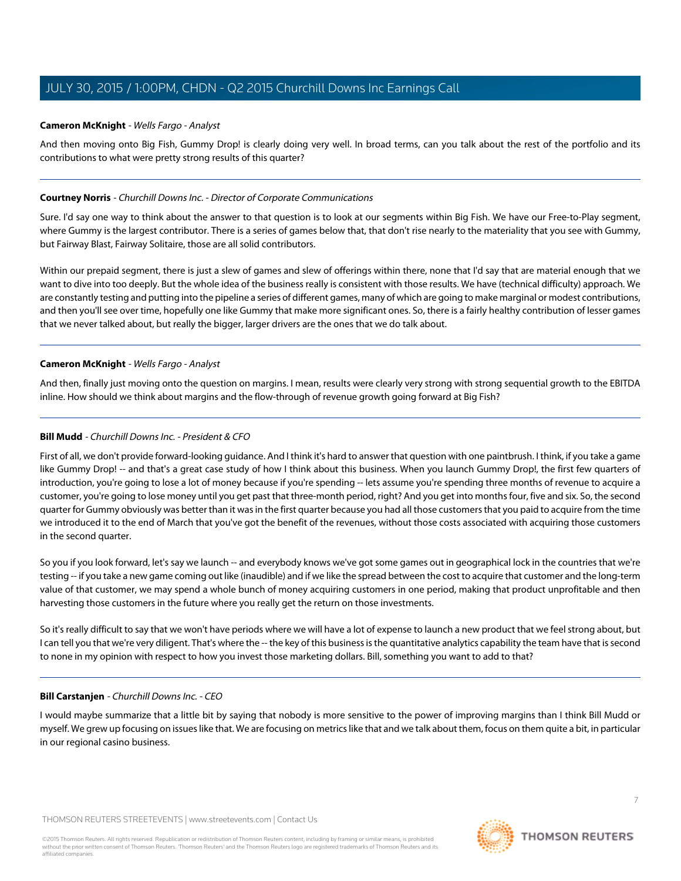#### **Cameron McKnight** - Wells Fargo - Analyst

And then moving onto Big Fish, Gummy Drop! is clearly doing very well. In broad terms, can you talk about the rest of the portfolio and its contributions to what were pretty strong results of this quarter?

#### **Courtney Norris** - Churchill Downs Inc. - Director of Corporate Communications

Sure. I'd say one way to think about the answer to that question is to look at our segments within Big Fish. We have our Free-to-Play segment, where Gummy is the largest contributor. There is a series of games below that, that don't rise nearly to the materiality that you see with Gummy, but Fairway Blast, Fairway Solitaire, those are all solid contributors.

Within our prepaid segment, there is just a slew of games and slew of offerings within there, none that I'd say that are material enough that we want to dive into too deeply. But the whole idea of the business really is consistent with those results. We have (technical difficulty) approach. We are constantly testing and putting into the pipeline a series of different games, many of which are going to make marginal or modest contributions, and then you'll see over time, hopefully one like Gummy that make more significant ones. So, there is a fairly healthy contribution of lesser games that we never talked about, but really the bigger, larger drivers are the ones that we do talk about.

#### **Cameron McKnight** - Wells Fargo - Analyst

And then, finally just moving onto the question on margins. I mean, results were clearly very strong with strong sequential growth to the EBITDA inline. How should we think about margins and the flow-through of revenue growth going forward at Big Fish?

#### **Bill Mudd** - Churchill Downs Inc. - President & CFO

First of all, we don't provide forward-looking guidance. And I think it's hard to answer that question with one paintbrush. I think, if you take a game like Gummy Drop! -- and that's a great case study of how I think about this business. When you launch Gummy Drop!, the first few quarters of introduction, you're going to lose a lot of money because if you're spending -- lets assume you're spending three months of revenue to acquire a customer, you're going to lose money until you get past that three-month period, right? And you get into months four, five and six. So, the second quarter for Gummy obviously was better than it was in the first quarter because you had all those customers that you paid to acquire from the time we introduced it to the end of March that you've got the benefit of the revenues, without those costs associated with acquiring those customers in the second quarter.

So you if you look forward, let's say we launch -- and everybody knows we've got some games out in geographical lock in the countries that we're testing -- if you take a new game coming out like (inaudible) and if we like the spread between the cost to acquire that customer and the long-term value of that customer, we may spend a whole bunch of money acquiring customers in one period, making that product unprofitable and then harvesting those customers in the future where you really get the return on those investments.

So it's really difficult to say that we won't have periods where we will have a lot of expense to launch a new product that we feel strong about, but I can tell you that we're very diligent. That's where the -- the key of this business is the quantitative analytics capability the team have that is second to none in my opinion with respect to how you invest those marketing dollars. Bill, something you want to add to that?

#### **Bill Carstanjen** - Churchill Downs Inc. - CEO

I would maybe summarize that a little bit by saying that nobody is more sensitive to the power of improving margins than I think Bill Mudd or myself. We grew up focusing on issues like that. We are focusing on metrics like that and we talk about them, focus on them quite a bit, in particular in our regional casino business.

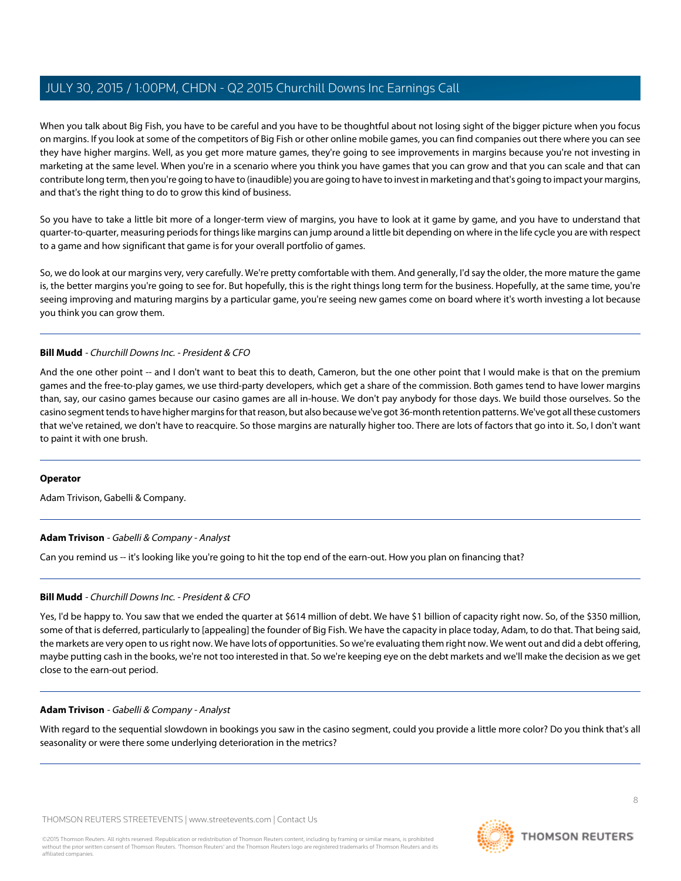When you talk about Big Fish, you have to be careful and you have to be thoughtful about not losing sight of the bigger picture when you focus on margins. If you look at some of the competitors of Big Fish or other online mobile games, you can find companies out there where you can see they have higher margins. Well, as you get more mature games, they're going to see improvements in margins because you're not investing in marketing at the same level. When you're in a scenario where you think you have games that you can grow and that you can scale and that can contribute long term, then you're going to have to (inaudible) you are going to have to invest in marketing and that's going to impact your margins, and that's the right thing to do to grow this kind of business.

So you have to take a little bit more of a longer-term view of margins, you have to look at it game by game, and you have to understand that quarter-to-quarter, measuring periods for things like margins can jump around a little bit depending on where in the life cycle you are with respect to a game and how significant that game is for your overall portfolio of games.

So, we do look at our margins very, very carefully. We're pretty comfortable with them. And generally, I'd say the older, the more mature the game is, the better margins you're going to see for. But hopefully, this is the right things long term for the business. Hopefully, at the same time, you're seeing improving and maturing margins by a particular game, you're seeing new games come on board where it's worth investing a lot because you think you can grow them.

#### **Bill Mudd** - Churchill Downs Inc. - President & CFO

And the one other point -- and I don't want to beat this to death, Cameron, but the one other point that I would make is that on the premium games and the free-to-play games, we use third-party developers, which get a share of the commission. Both games tend to have lower margins than, say, our casino games because our casino games are all in-house. We don't pay anybody for those days. We build those ourselves. So the casino segment tends to have higher margins for that reason, but also because we've got 36-month retention patterns. We've got all these customers that we've retained, we don't have to reacquire. So those margins are naturally higher too. There are lots of factors that go into it. So, I don't want to paint it with one brush.

#### <span id="page-7-0"></span>**Operator**

Adam Trivison, Gabelli & Company.

#### **Adam Trivison** - Gabelli & Company - Analyst

Can you remind us -- it's looking like you're going to hit the top end of the earn-out. How you plan on financing that?

#### **Bill Mudd** - Churchill Downs Inc. - President & CFO

Yes, I'd be happy to. You saw that we ended the quarter at \$614 million of debt. We have \$1 billion of capacity right now. So, of the \$350 million, some of that is deferred, particularly to [appealing] the founder of Big Fish. We have the capacity in place today, Adam, to do that. That being said, the markets are very open to us right now. We have lots of opportunities. So we're evaluating them right now. We went out and did a debt offering, maybe putting cash in the books, we're not too interested in that. So we're keeping eye on the debt markets and we'll make the decision as we get close to the earn-out period.

#### **Adam Trivison** - Gabelli & Company - Analyst

With regard to the sequential slowdown in bookings you saw in the casino segment, could you provide a little more color? Do you think that's all seasonality or were there some underlying deterioration in the metrics?

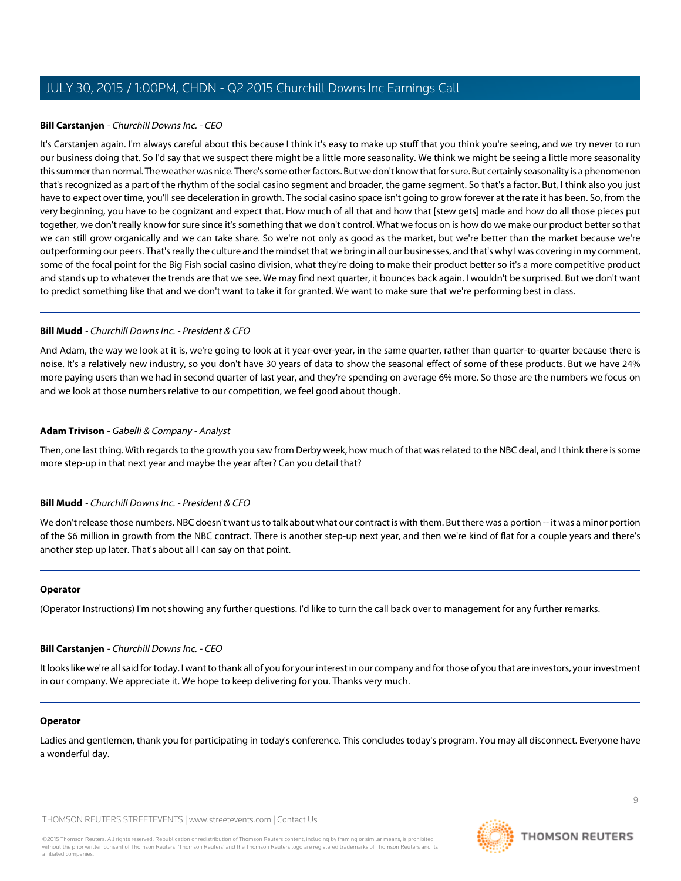#### **Bill Carstanjen** - Churchill Downs Inc. - CEO

It's Carstanjen again. I'm always careful about this because I think it's easy to make up stuff that you think you're seeing, and we try never to run our business doing that. So I'd say that we suspect there might be a little more seasonality. We think we might be seeing a little more seasonality this summer than normal. The weather was nice. There's some other factors. But we don't know that for sure. But certainly seasonality is a phenomenon that's recognized as a part of the rhythm of the social casino segment and broader, the game segment. So that's a factor. But, I think also you just have to expect over time, you'll see deceleration in growth. The social casino space isn't going to grow forever at the rate it has been. So, from the very beginning, you have to be cognizant and expect that. How much of all that and how that [stew gets] made and how do all those pieces put together, we don't really know for sure since it's something that we don't control. What we focus on is how do we make our product better so that we can still grow organically and we can take share. So we're not only as good as the market, but we're better than the market because we're outperforming our peers. That's really the culture and the mindset that we bring in all our businesses, and that's why I was covering in my comment, some of the focal point for the Big Fish social casino division, what they're doing to make their product better so it's a more competitive product and stands up to whatever the trends are that we see. We may find next quarter, it bounces back again. I wouldn't be surprised. But we don't want to predict something like that and we don't want to take it for granted. We want to make sure that we're performing best in class.

#### **Bill Mudd** - Churchill Downs Inc. - President & CFO

And Adam, the way we look at it is, we're going to look at it year-over-year, in the same quarter, rather than quarter-to-quarter because there is noise. It's a relatively new industry, so you don't have 30 years of data to show the seasonal effect of some of these products. But we have 24% more paying users than we had in second quarter of last year, and they're spending on average 6% more. So those are the numbers we focus on and we look at those numbers relative to our competition, we feel good about though.

#### **Adam Trivison** - Gabelli & Company - Analyst

Then, one last thing. With regards to the growth you saw from Derby week, how much of that was related to the NBC deal, and I think there is some more step-up in that next year and maybe the year after? Can you detail that?

#### **Bill Mudd** - Churchill Downs Inc. - President & CFO

We don't release those numbers. NBC doesn't want us to talk about what our contract is with them. But there was a portion -- it was a minor portion of the \$6 million in growth from the NBC contract. There is another step-up next year, and then we're kind of flat for a couple years and there's another step up later. That's about all I can say on that point.

#### **Operator**

(Operator Instructions) I'm not showing any further questions. I'd like to turn the call back over to management for any further remarks.

#### **Bill Carstanjen** - Churchill Downs Inc. - CEO

It looks like we're all said for today. I want to thank all of you for your interest in our company and for those of you that are investors, your investment in our company. We appreciate it. We hope to keep delivering for you. Thanks very much.

#### **Operator**

Ladies and gentlemen, thank you for participating in today's conference. This concludes today's program. You may all disconnect. Everyone have a wonderful day.